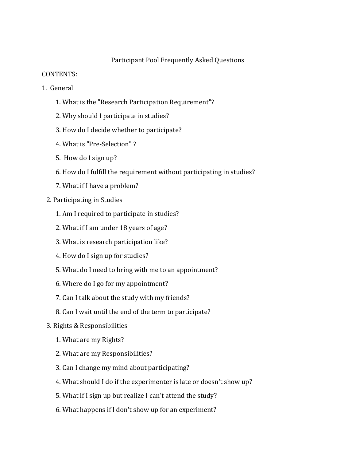# Participant Pool Frequently Asked Questions

### CONTENTS:

- 1. General
	- 1. What is the "Research Participation Requirement"?
	- 2. Why should I participate in studies?
	- 3. How do I decide whether to participate?
	- 4. What is "Pre-Selection" ?
	- 5. How do I sign up?
	- 6. How do I fulfill the requirement without participating in studies?
	- 7. What if I have a problem?
	- 2. Participating in Studies
		- 1. Am I required to participate in studies?
		- 2. What if I am under 18 years of age?
		- 3. What is research participation like?
		- 4. How do I sign up for studies?
		- 5. What do I need to bring with me to an appointment?
		- 6. Where do I go for my appointment?
		- 7. Can I talk about the study with my friends?
		- 8. Can I wait until the end of the term to participate?
	- 3. Rights & Responsibilities
		- 1. What are my Rights?
		- 2. What are my Responsibilities?
		- 3. Can I change my mind about participating?
		- 4. What should I do if the experimenter is late or doesn't show up?
		- 5. What if I sign up but realize I can't attend the study?
		- 6. What happens if I don't show up for an experiment?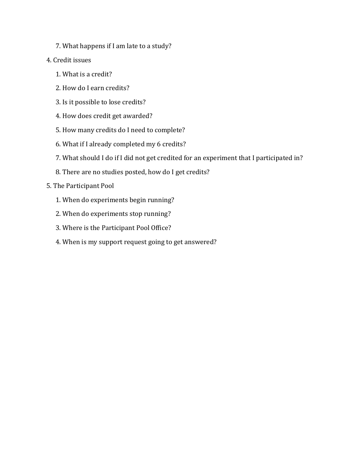- 7. What happens if I am late to a study?
- 4. Credit issues
	- 1. What is a credit?
	- 2. How do I earn credits?
	- 3. Is it possible to lose credits?
	- 4. How does credit get awarded?
	- 5. How many credits do I need to complete?
	- 6. What if I already completed my 6 credits?
	- 7. What should I do if I did not get credited for an experiment that I participated in?
	- 8. There are no studies posted, how do I get credits?

# 5. The Participant Pool

- 1. When do experiments begin running?
- 2. When do experiments stop running?
- 3. Where is the Participant Pool Office?
- 4. When is my support request going to get answered?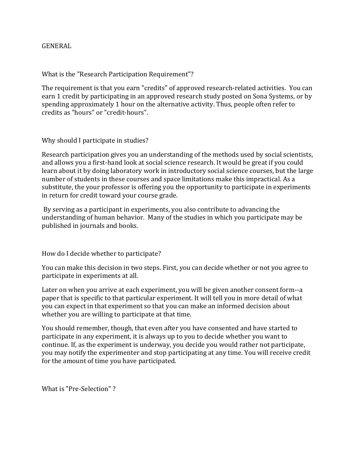#### GENERAL

What is the "Research Participation Requirement"?

The requirement is that you earn "credits" of approved research-related activities. You can earn 1 credit by participating in an approved research study posted on Sona Systems, or by spending approximately 1 hour on the alternative activity. Thus, people often refer to credits as "hours" or "credit-hours".

Why should I participate in studies?

Research participation gives you an understanding of the methods used by social scientists, and allows you a first-hand look at social science research. It would be great if you could learn about it by doing laboratory work in introductory social science courses, but the large number of students in these courses and space limitations make this impractical. As a substitute, the your professor is offering you the opportunity to participate in experiments in return for credit toward your course grade.

By serving as a participant in experiments, you also contribute to advancing the understanding of human behavior. Many of the studies in which you participate may be published in journals and books.

How do I decide whether to participate?

You can make this decision in two steps. First, you can decide whether or not you agree to participate in experiments at all.

Later on when you arrive at each experiment, you will be given another consent form--a paper that is specific to that particular experiment. It will tell you in more detail of what you can expect in that experiment so that you can make an informed decision about whether you are willing to participate at that time.

You should remember, though, that even after you have consented and have started to participate in any experiment, it is always up to you to decide whether you want to continue. If, as the experiment is underway, you decide you would rather not participate, you may notify the experimenter and stop participating at any time. You will receive credit for the amount of time you have participated.

What is "Pre-Selection" ?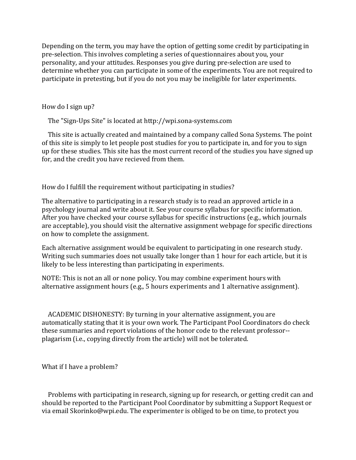Depending on the term, you may have the option of getting some credit by participating in pre-selection. This involves completing a series of questionnaires about you, your personality, and your attitudes. Responses you give during pre-selection are used to determine whether you can participate in some of the experiments. You are not required to participate in pretesting, but if you do not you may be ineligible for later experiments.

How do I sign up?

The "Sign-Ups Site" is located at http://wpi.sona-systems.com

 This site is actually created and maintained by a company called Sona Systems. The point of this site is simply to let people post studies for you to participate in, and for you to sign up for these studies. This site has the most current record of the studies you have signed up for, and the credit you have recieved from them.

How do I fulfill the requirement without participating in studies?

The alternative to participating in a research study is to read an approved article in a psychology journal and write about it. See your course syllabus for specific information. After you have checked your course syllabus for specific instructions (e.g., which journals are acceptable), you should visit the alternative assignment webpage for specific directions on how to complete the assignment.

Each alternative assignment would be equivalent to participating in one research study. Writing such summaries does not usually take longer than 1 hour for each article, but it is likely to be less interesting than participating in experiments.

NOTE: This is not an all or none policy. You may combine experiment hours with alternative assignment hours (e.g., 5 hours experiments and 1 alternative assignment).

 ACADEMIC DISHONESTY: By turning in your alternative assignment, you are automatically stating that it is your own work. The Participant Pool Coordinators do check these summaries and report violations of the honor code to the relevant professor- plagarism (i.e., copying directly from the article) will not be tolerated.

What if I have a problem?

 Problems with participating in research, signing up for research, or getting credit can and should be reported to the Participant Pool Coordinator by submitting a Support Request or via email Skorinko@wpi.edu. The experimenter is obliged to be on time, to protect you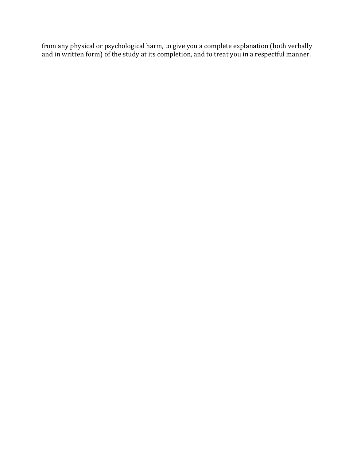from any physical or psychological harm, to give you a complete explanation (both verbally and in written form) of the study at its completion, and to treat you in a respectful manner.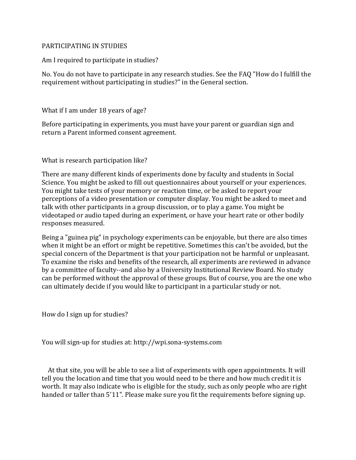#### PARTICIPATING IN STUDIES

Am I required to participate in studies?

No. You do not have to participate in any research studies. See the FAQ "How do I fulfill the requirement without participating in studies?" in the General section.

What if I am under 18 years of age?

Before participating in experiments, you must have your parent or guardian sign and return a Parent informed consent agreement.

What is research participation like?

There are many different kinds of experiments done by faculty and students in Social Science. You might be asked to fill out questionnaires about yourself or your experiences. You might take tests of your memory or reaction time, or be asked to report your perceptions of a video presentation or computer display. You might be asked to meet and talk with other participants in a group discussion, or to play a game. You might be videotaped or audio taped during an experiment, or have your heart rate or other bodily responses measured.

Being a "guinea pig" in psychology experiments can be enjoyable, but there are also times when it might be an effort or might be repetitive. Sometimes this can't be avoided, but the special concern of the Department is that your participation not be harmful or unpleasant. To examine the risks and benefits of the research, all experiments are reviewed in advance by a committee of faculty--and also by a University Institutional Review Board. No study can be performed without the approval of these groups. But of course, you are the one who can ultimately decide if you would like to participant in a particular study or not.

How do I sign up for studies?

You will sign-up for studies at: http://wpi.sona-systems.com

 At that site, you will be able to see a list of experiments with open appointments. It will tell you the location and time that you would need to be there and how much credit it is worth. It may also indicate who is eligible for the study, such as only people who are right handed or taller than 5'11". Please make sure you fit the requirements before signing up.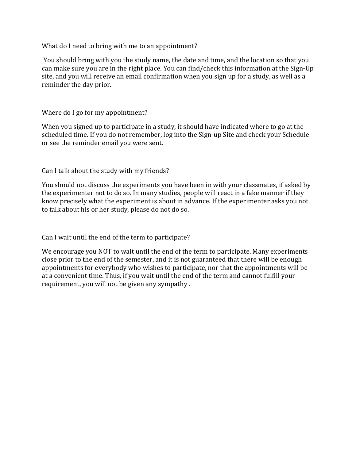What do I need to bring with me to an appointment?

You should bring with you the study name, the date and time, and the location so that you can make sure you are in the right place. You can find/check this information at the Sign-Up site, and you will receive an email confirmation when you sign up for a study, as well as a reminder the day prior.

#### Where do I go for my appointment?

When you signed up to participate in a study, it should have indicated where to go at the scheduled time. If you do not remember, log into the Sign-up Site and check your Schedule or see the reminder email you were sent.

Can I talk about the study with my friends?

You should not discuss the experiments you have been in with your classmates, if asked by the experimenter not to do so. In many studies, people will react in a fake manner if they know precisely what the experiment is about in advance. If the experimenter asks you not to talk about his or her study, please do not do so.

Can I wait until the end of the term to participate?

We encourage you NOT to wait until the end of the term to participate. Many experiments close prior to the end of the semester, and it is not guaranteed that there will be enough appointments for everybody who wishes to participate, nor that the appointments will be at a convenient time. Thus, if you wait until the end of the term and cannot fulfill your requirement, you will not be given any sympathy .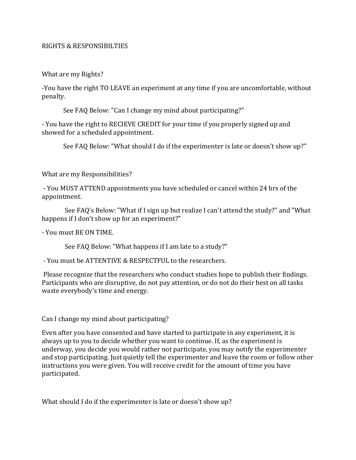#### RIGHTS & RESPONSIBILTIES

What are my Rights?

-You have the right TO LEAVE an experiment at any time if you are uncomfortable, without penalty.

See FAQ Below: "Can I change my mind about participating?"

- You have the right to RECIEVE CREDIT for your time if you properly signed up and showed for a scheduled appointment.

See FAQ Below: "What should I do if the experimenter is late or doesn't show up?"

What are my Responsibilities?

- You MUST ATTEND appointments you have scheduled or cancel within 24 hrs of the appointment.

 See FAQ's Below: "What if I sign up but realize I can't attend the study?" and "What happens if I don't show up for an experiment?"

- You must BE ON TIME.

See FAQ Below: "What happens if I am late to a study?"

- You must be ATTENTIVE & RESPECTFUL to the researchers.

Please recognize that the researchers who conduct studies hope to publish their findings. Participants who are disruptive, do not pay attention, or do not do their best on all tasks waste everybody's time and energy.

Can I change my mind about participating?

Even after you have consented and have started to participate in any experiment, it is always up to you to decide whether you want to continue. If, as the experiment is underway, you decide you would rather not participate, you may notify the experimenter and stop participating. Just quietly tell the experimenter and leave the room or follow other instructions you were given. You will receive credit for the amount of time you have participated.

What should I do if the experimenter is late or doesn't show up?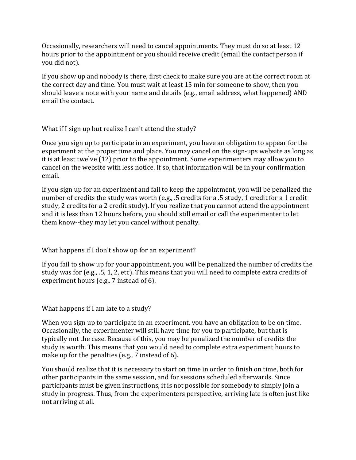Occasionally, researchers will need to cancel appointments. They must do so at least 12 hours prior to the appointment or you should receive credit (email the contact person if you did not).

If you show up and nobody is there, first check to make sure you are at the correct room at the correct day and time. You must wait at least 15 min for someone to show, then you should leave a note with your name and details (e.g., email address, what happened) AND email the contact.

What if I sign up but realize I can't attend the study?

Once you sign up to participate in an experiment, you have an obligation to appear for the experiment at the proper time and place. You may cancel on the sign-ups website as long as it is at least twelve (12) prior to the appointment. Some experimenters may allow you to cancel on the website with less notice. If so, that information will be in your confirmation email.

If you sign up for an experiment and fail to keep the appointment, you will be penalized the number of credits the study was worth (e.g., .5 credits for a .5 study, 1 credit for a 1 credit study, 2 credits for a 2 credit study). If you realize that you cannot attend the appointment and it is less than 12 hours before, you should still email or call the experimenter to let them know--they may let you cancel without penalty.

What happens if I don't show up for an experiment?

If you fail to show up for your appointment, you will be penalized the number of credits the study was for (e.g., .5, 1, 2, etc). This means that you will need to complete extra credits of experiment hours (e.g., 7 instead of 6).

What happens if I am late to a study?

When you sign up to participate in an experiment, you have an obligation to be on time. Occasionally, the experimenter will still have time for you to participate, but that is typically not the case. Because of this, you may be penalized the number of credits the study is worth. This means that you would need to complete extra experiment hours to make up for the penalties (e.g., 7 instead of 6).

You should realize that it is necessary to start on time in order to finish on time, both for other participants in the same session, and for sessions scheduled afterwards. Since participants must be given instructions, it is not possible for somebody to simply join a study in progress. Thus, from the experimenters perspective, arriving late is often just like not arriving at all.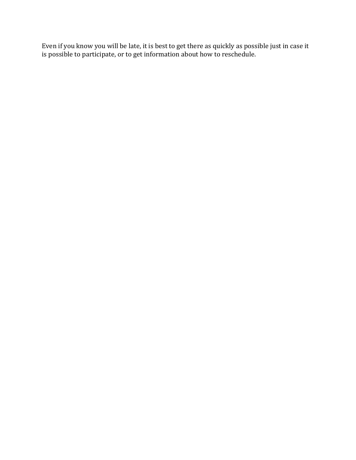Even if you know you will be late, it is best to get there as quickly as possible just in case it is possible to participate, or to get information about how to reschedule.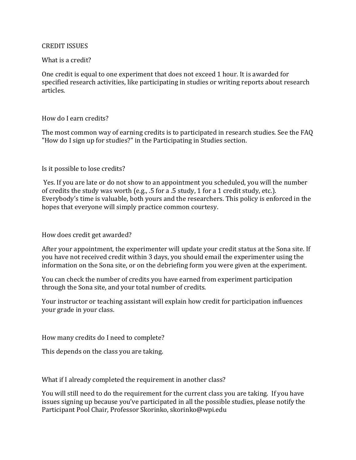#### CREDIT ISSUES

#### What is a credit?

One credit is equal to one experiment that does not exceed 1 hour. It is awarded for specified research activities, like participating in studies or writing reports about research articles.

#### How do I earn credits?

The most common way of earning credits is to participated in research studies. See the FAQ "How do I sign up for studies?" in the Participating in Studies section.

#### Is it possible to lose credits?

Yes. If you are late or do not show to an appointment you scheduled, you will the number of credits the study was worth (e.g., .5 for a .5 study, 1 for a 1 credit study, etc.). Everybody's time is valuable, both yours and the researchers. This policy is enforced in the hopes that everyone will simply practice common courtesy.

## How does credit get awarded?

After your appointment, the experimenter will update your credit status at the Sona site. If you have not received credit within 3 days, you should email the experimenter using the information on the Sona site, or on the debriefing form you were given at the experiment.

You can check the number of credits you have earned from experiment participation through the Sona site, and your total number of credits.

Your instructor or teaching assistant will explain how credit for participation influences your grade in your class.

How many credits do I need to complete?

This depends on the class you are taking.

What if I already completed the requirement in another class?

You will still need to do the requirement for the current class you are taking. If you have issues signing up because you've participated in all the possible studies, please notify the Participant Pool Chair, Professor Skorinko, skorinko@wpi.edu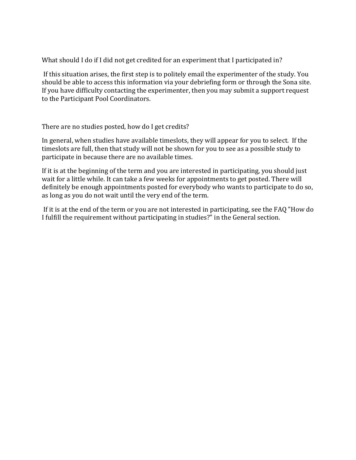What should I do if I did not get credited for an experiment that I participated in?

If this situation arises, the first step is to politely email the experimenter of the study. You should be able to access this information via your debriefing form or through the Sona site. If you have difficulty contacting the experimenter, then you may submit a support request to the Participant Pool Coordinators.

There are no studies posted, how do I get credits?

In general, when studies have available timeslots, they will appear for you to select. If the timeslots are full, then that study will not be shown for you to see as a possible study to participate in because there are no available times.

If it is at the beginning of the term and you are interested in participating, you should just wait for a little while. It can take a few weeks for appointments to get posted. There will definitely be enough appointments posted for everybody who wants to participate to do so, as long as you do not wait until the very end of the term.

If it is at the end of the term or you are not interested in participating, see the FAQ "How do I fulfill the requirement without participating in studies?" in the General section.